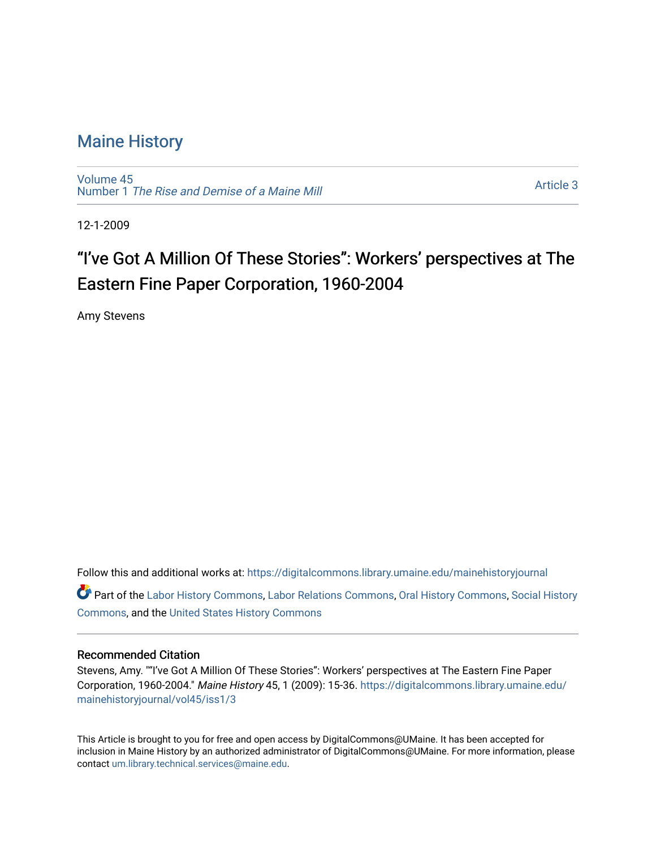# [Maine History](https://digitalcommons.library.umaine.edu/mainehistoryjournal)

[Volume 45](https://digitalcommons.library.umaine.edu/mainehistoryjournal/vol45) Number 1 [The Rise and Demise of a Maine Mill](https://digitalcommons.library.umaine.edu/mainehistoryjournal/vol45/iss1)

[Article 3](https://digitalcommons.library.umaine.edu/mainehistoryjournal/vol45/iss1/3) 

12-1-2009

# "I've Got A Million Of These Stories": Workers' perspectives at The Eastern Fine Paper Corporation, 1960-2004

Amy Stevens

Follow this and additional works at: [https://digitalcommons.library.umaine.edu/mainehistoryjournal](https://digitalcommons.library.umaine.edu/mainehistoryjournal?utm_source=digitalcommons.library.umaine.edu%2Fmainehistoryjournal%2Fvol45%2Fiss1%2F3&utm_medium=PDF&utm_campaign=PDFCoverPages) 

Part of the [Labor History Commons,](http://network.bepress.com/hgg/discipline/1254?utm_source=digitalcommons.library.umaine.edu%2Fmainehistoryjournal%2Fvol45%2Fiss1%2F3&utm_medium=PDF&utm_campaign=PDFCoverPages) [Labor Relations Commons](http://network.bepress.com/hgg/discipline/635?utm_source=digitalcommons.library.umaine.edu%2Fmainehistoryjournal%2Fvol45%2Fiss1%2F3&utm_medium=PDF&utm_campaign=PDFCoverPages), [Oral History Commons](http://network.bepress.com/hgg/discipline/1195?utm_source=digitalcommons.library.umaine.edu%2Fmainehistoryjournal%2Fvol45%2Fiss1%2F3&utm_medium=PDF&utm_campaign=PDFCoverPages), [Social History](http://network.bepress.com/hgg/discipline/506?utm_source=digitalcommons.library.umaine.edu%2Fmainehistoryjournal%2Fvol45%2Fiss1%2F3&utm_medium=PDF&utm_campaign=PDFCoverPages) [Commons](http://network.bepress.com/hgg/discipline/506?utm_source=digitalcommons.library.umaine.edu%2Fmainehistoryjournal%2Fvol45%2Fiss1%2F3&utm_medium=PDF&utm_campaign=PDFCoverPages), and the [United States History Commons](http://network.bepress.com/hgg/discipline/495?utm_source=digitalcommons.library.umaine.edu%2Fmainehistoryjournal%2Fvol45%2Fiss1%2F3&utm_medium=PDF&utm_campaign=PDFCoverPages) 

### Recommended Citation

Stevens, Amy. ""I've Got A Million Of These Stories": Workers' perspectives at The Eastern Fine Paper Corporation, 1960-2004." Maine History 45, 1 (2009): 15-36. [https://digitalcommons.library.umaine.edu/](https://digitalcommons.library.umaine.edu/mainehistoryjournal/vol45/iss1/3?utm_source=digitalcommons.library.umaine.edu%2Fmainehistoryjournal%2Fvol45%2Fiss1%2F3&utm_medium=PDF&utm_campaign=PDFCoverPages) [mainehistoryjournal/vol45/iss1/3](https://digitalcommons.library.umaine.edu/mainehistoryjournal/vol45/iss1/3?utm_source=digitalcommons.library.umaine.edu%2Fmainehistoryjournal%2Fvol45%2Fiss1%2F3&utm_medium=PDF&utm_campaign=PDFCoverPages)

This Article is brought to you for free and open access by DigitalCommons@UMaine. It has been accepted for inclusion in Maine History by an authorized administrator of DigitalCommons@UMaine. For more information, please contact [um.library.technical.services@maine.edu](mailto:um.library.technical.services@maine.edu).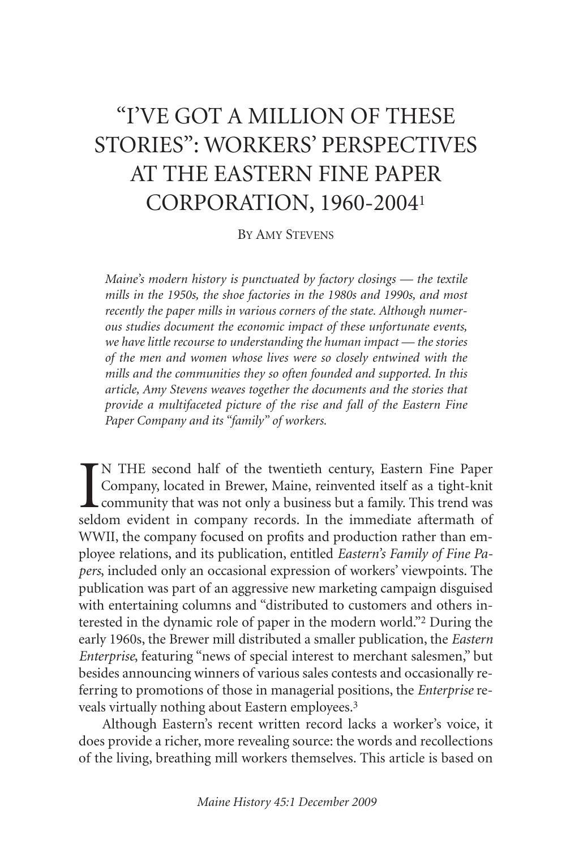# "I'VE GOT A MILLION OF THESE STORIES": WORKERS' PERSPECTIVES AT THE EASTERN FINE PAPER CORPORATION, 1960-20041

# BY AMY STEVENS

*Maine's modern history is punctuated by factory closings — the textile mills in the 1950s, the shoe factories in the 1980s and 1990s, and most recently the paper mills in various corners of the state. Although numerous studies document the economic impact of these unfortunate events, we have little recourse to understanding the human impact — the stories of the men and women whose lives were so closely entwined with the mills and the communities they so often founded and supported. In this article, Amy Stevens weaves together the documents and the stories that provide a multifaceted picture of the rise and fall of the Eastern Fine Paper Company and its "family" of workers.*

IN THE second half of the twentieth century, Eastern Fine Paper Company, located in Brewer, Maine, reinvented itself as a tight-knit community that was not only a business but a family. This trend was seldom evident in com N THE second half of the twentieth century, Eastern Fine Paper Company, located in Brewer, Maine, reinvented itself as a tight-knit community that was not only a business but a family. This trend was WWII, the company focused on profits and production rather than employee relations, and its publication, entitled *Eastern's Family of Fine Papers*, included only an occasional expression of workers' viewpoints. The publication was part of an aggressive new marketing campaign disguised with entertaining columns and "distributed to customers and others interested in the dynamic role of paper in the modern world."2 During the early 1960s, the Brewer mill distributed a smaller publication, the *Eastern Enterprise*, featuring "news of special interest to merchant salesmen," but besides announcing winners of various sales contests and occasionally referring to promotions of those in managerial positions, the *Enterprise* reveals virtually nothing about Eastern employees.3

Although Eastern's recent written record lacks a worker's voice, it does provide a richer, more revealing source: the words and recollections of the living, breathing mill workers themselves. This article is based on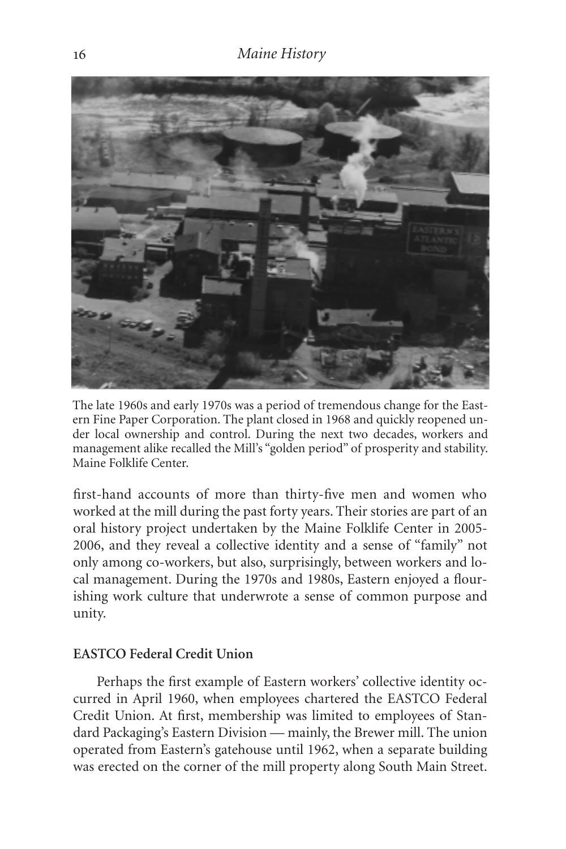

The late 1960s and early 1970s was a period of tremendous change for the Eastern Fine Paper Corporation. The plant closed in 1968 and quickly reopened under local ownership and control. During the next two decades, workers and management alike recalled the Mill's "golden period" of prosperity and stability. Maine Folklife Center.

first-hand accounts of more than thirty-five men and women who worked at the mill during the past forty years. Their stories are part of an oral history project undertaken by the Maine Folklife Center in 2005- 2006, and they reveal a collective identity and a sense of "family" not only among co-workers, but also, surprisingly, between workers and local management. During the 1970s and 1980s, Eastern enjoyed a flourishing work culture that underwrote a sense of common purpose and unity.

# **EASTCO Federal Credit Union**

Perhaps the first example of Eastern workers' collective identity occurred in April 1960, when employees chartered the EASTCO Federal Credit Union. At first, membership was limited to employees of Standard Packaging's Eastern Division — mainly, the Brewer mill. The union operated from Eastern's gatehouse until 1962, when a separate building was erected on the corner of the mill property along South Main Street.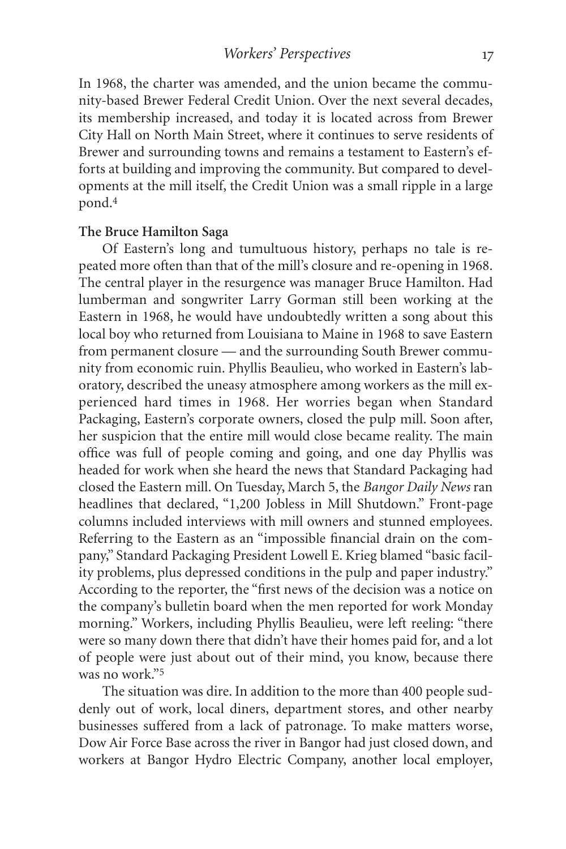In 1968, the charter was amended, and the union became the community-based Brewer Federal Credit Union. Over the next several decades, its membership increased, and today it is located across from Brewer City Hall on North Main Street, where it continues to serve residents of Brewer and surrounding towns and remains a testament to Eastern's efforts at building and improving the community. But compared to developments at the mill itself, the Credit Union was a small ripple in a large pond.4

#### **The Bruce Hamilton Saga**

Of Eastern's long and tumultuous history, perhaps no tale is repeated more often than that of the mill's closure and re-opening in 1968. The central player in the resurgence was manager Bruce Hamilton. Had lumberman and songwriter Larry Gorman still been working at the Eastern in 1968, he would have undoubtedly written a song about this local boy who returned from Louisiana to Maine in 1968 to save Eastern from permanent closure — and the surrounding South Brewer community from economic ruin. Phyllis Beaulieu, who worked in Eastern's laboratory, described the uneasy atmosphere among workers as the mill experienced hard times in 1968. Her worries began when Standard Packaging, Eastern's corporate owners, closed the pulp mill. Soon after, her suspicion that the entire mill would close became reality. The main office was full of people coming and going, and one day Phyllis was headed for work when she heard the news that Standard Packaging had closed the Eastern mill. On Tuesday, March 5, the *Bangor Daily News* ran headlines that declared, "1,200 Jobless in Mill Shutdown." Front-page columns included interviews with mill owners and stunned employees. Referring to the Eastern as an "impossible financial drain on the company," Standard Packaging President Lowell E. Krieg blamed "basic facility problems, plus depressed conditions in the pulp and paper industry." According to the reporter, the "first news of the decision was a notice on the company's bulletin board when the men reported for work Monday morning." Workers, including Phyllis Beaulieu, were left reeling: "there were so many down there that didn't have their homes paid for, and a lot of people were just about out of their mind, you know, because there was no work."5

The situation was dire. In addition to the more than 400 people suddenly out of work, local diners, department stores, and other nearby businesses suffered from a lack of patronage. To make matters worse, Dow Air Force Base across the river in Bangor had just closed down, and workers at Bangor Hydro Electric Company, another local employer,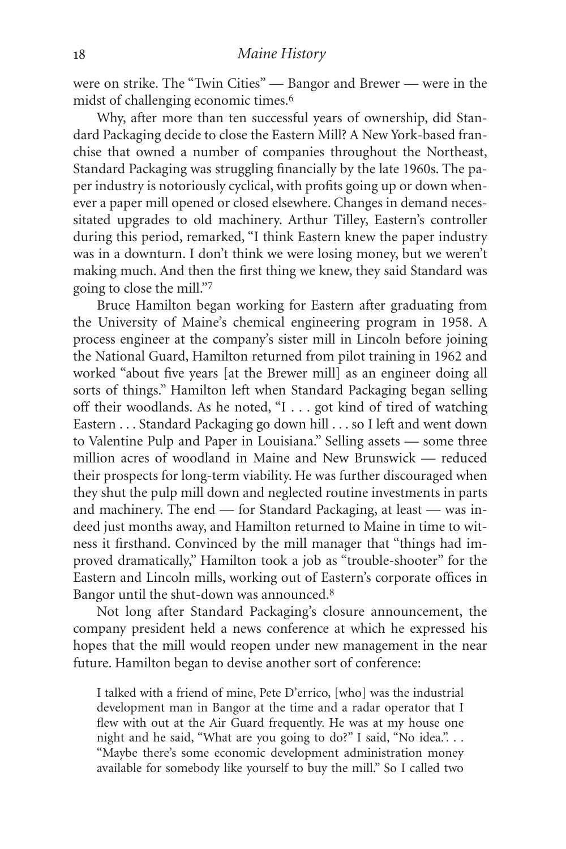were on strike. The "Twin Cities" — Bangor and Brewer — were in the midst of challenging economic times.<sup>6</sup>

Why, after more than ten successful years of ownership, did Standard Packaging decide to close the Eastern Mill? A New York-based franchise that owned a number of companies throughout the Northeast, Standard Packaging was struggling financially by the late 1960s. The paper industry is notoriously cyclical, with profits going up or down whenever a paper mill opened or closed elsewhere. Changes in demand necessitated upgrades to old machinery. Arthur Tilley, Eastern's controller during this period, remarked, "I think Eastern knew the paper industry was in a downturn. I don't think we were losing money, but we weren't making much. And then the first thing we knew, they said Standard was going to close the mill."7

Bruce Hamilton began working for Eastern after graduating from the University of Maine's chemical engineering program in 1958. A process engineer at the company's sister mill in Lincoln before joining the National Guard, Hamilton returned from pilot training in 1962 and worked "about five years [at the Brewer mill] as an engineer doing all sorts of things." Hamilton left when Standard Packaging began selling off their woodlands. As he noted, "I . . . got kind of tired of watching Eastern . . . Standard Packaging go down hill . . . so I left and went down to Valentine Pulp and Paper in Louisiana." Selling assets — some three million acres of woodland in Maine and New Brunswick — reduced their prospects for long-term viability. He was further discouraged when they shut the pulp mill down and neglected routine investments in parts and machinery. The end — for Standard Packaging, at least — was indeed just months away, and Hamilton returned to Maine in time to witness it firsthand. Convinced by the mill manager that "things had improved dramatically," Hamilton took a job as "trouble-shooter" for the Eastern and Lincoln mills, working out of Eastern's corporate offices in Bangor until the shut-down was announced.8

Not long after Standard Packaging's closure announcement, the company president held a news conference at which he expressed his hopes that the mill would reopen under new management in the near future. Hamilton began to devise another sort of conference:

I talked with a friend of mine, Pete D'errico, [who] was the industrial development man in Bangor at the time and a radar operator that I flew with out at the Air Guard frequently. He was at my house one night and he said, "What are you going to do?" I said, "No idea."... "Maybe there's some economic development administration money available for somebody like yourself to buy the mill." So I called two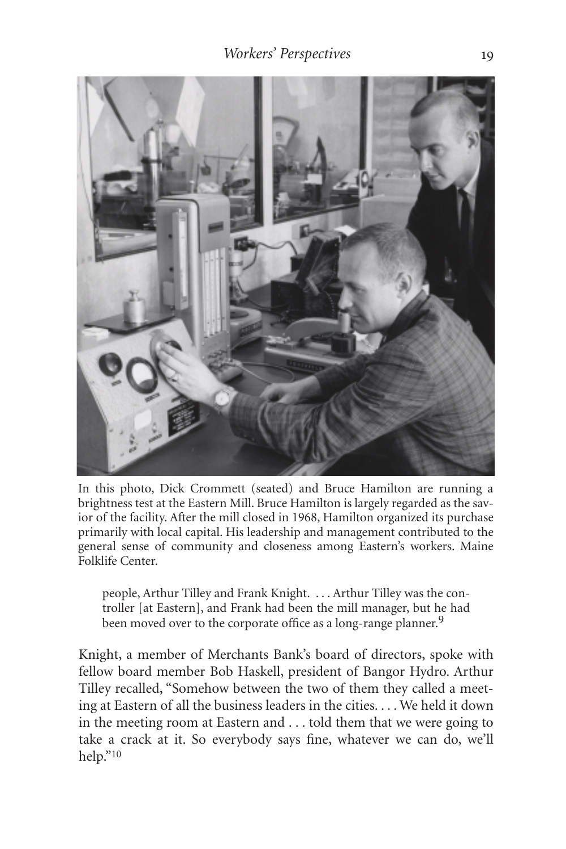

In this photo, Dick Crommett (seated) and Bruce Hamilton are running a brightness test at the Eastern Mill. Bruce Hamilton is largely regarded as the savior of the facility. After the mill closed in 1968, Hamilton organized its purchase primarily with local capital. His leadership and management contributed to the general sense of community and closeness among Eastern's workers. Maine Folklife Center.

people, Arthur Tilley and Frank Knight. . . . Arthur Tilley was the controller [at Eastern], and Frank had been the mill manager, but he had been moved over to the corporate office as a long-range planner.<sup>9</sup>

Knight, a member of Merchants Bank's board of directors, spoke with fellow board member Bob Haskell, president of Bangor Hydro. Arthur Tilley recalled, "Somehow between the two of them they called a meeting at Eastern of all the business leaders in the cities. . . . We held it down in the meeting room at Eastern and . . . told them that we were going to take a crack at it. So everybody says fine, whatever we can do, we'll help."10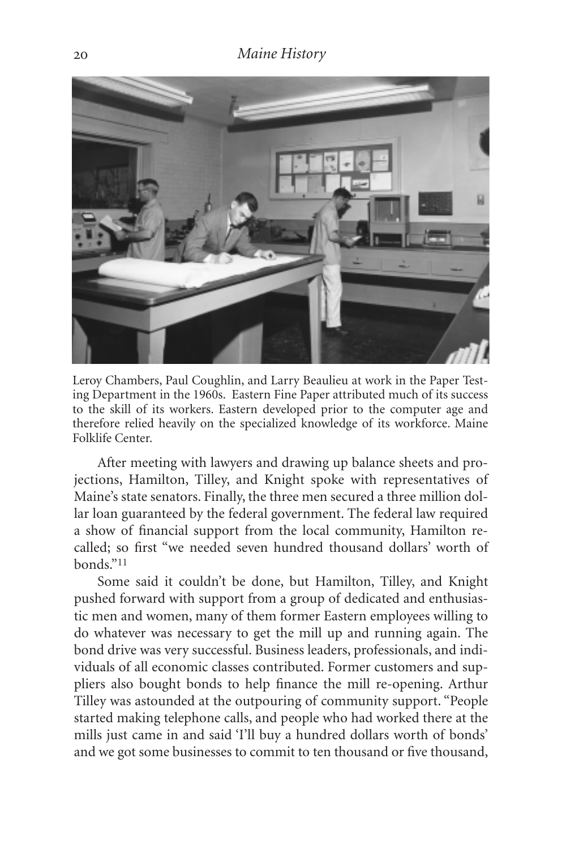

Leroy Chambers, Paul Coughlin, and Larry Beaulieu at work in the Paper Testing Department in the 1960s. Eastern Fine Paper attributed much of its success to the skill of its workers. Eastern developed prior to the computer age and therefore relied heavily on the specialized knowledge of its workforce. Maine Folklife Center.

After meeting with lawyers and drawing up balance sheets and projections, Hamilton, Tilley, and Knight spoke with representatives of Maine's state senators. Finally, the three men secured a three million dollar loan guaranteed by the federal government. The federal law required a show of financial support from the local community, Hamilton recalled; so first "we needed seven hundred thousand dollars' worth of bonds."11

Some said it couldn't be done, but Hamilton, Tilley, and Knight pushed forward with support from a group of dedicated and enthusiastic men and women, many of them former Eastern employees willing to do whatever was necessary to get the mill up and running again. The bond drive was very successful. Business leaders, professionals, and individuals of all economic classes contributed. Former customers and suppliers also bought bonds to help finance the mill re-opening. Arthur Tilley was astounded at the outpouring of community support. "People started making telephone calls, and people who had worked there at the mills just came in and said 'I'll buy a hundred dollars worth of bonds' and we got some businesses to commit to ten thousand or five thousand,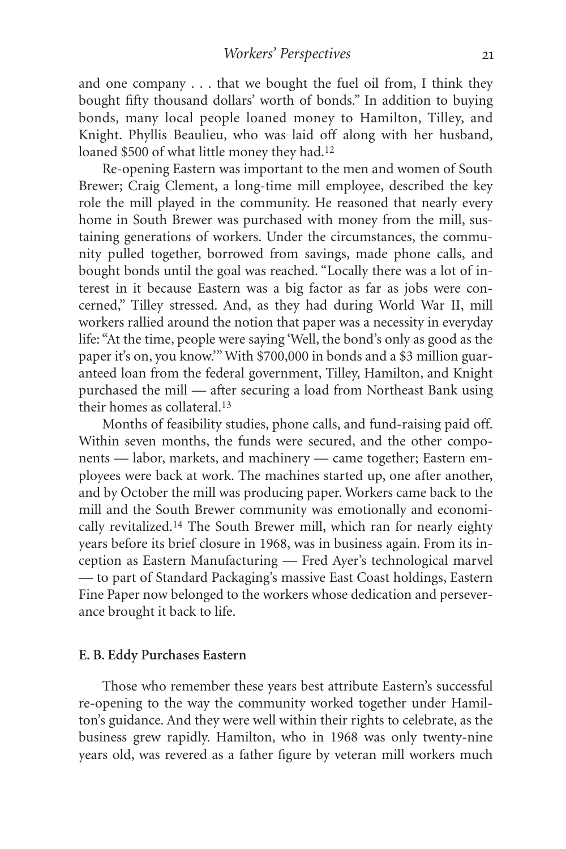and one company . . . that we bought the fuel oil from, I think they bought fifty thousand dollars' worth of bonds." In addition to buying bonds, many local people loaned money to Hamilton, Tilley, and Knight. Phyllis Beaulieu, who was laid off along with her husband, loaned \$500 of what little money they had.<sup>12</sup>

Re-opening Eastern was important to the men and women of South Brewer; Craig Clement, a long-time mill employee, described the key role the mill played in the community. He reasoned that nearly every home in South Brewer was purchased with money from the mill, sustaining generations of workers. Under the circumstances, the community pulled together, borrowed from savings, made phone calls, and bought bonds until the goal was reached. "Locally there was a lot of interest in it because Eastern was a big factor as far as jobs were concerned," Tilley stressed. And, as they had during World War II, mill workers rallied around the notion that paper was a necessity in everyday life: "At the time, people were saying 'Well, the bond's only as good as the paper it's on, you know.'" With \$700,000 in bonds and a \$3 million guaranteed loan from the federal government, Tilley, Hamilton, and Knight purchased the mill — after securing a load from Northeast Bank using their homes as collateral.13

Months of feasibility studies, phone calls, and fund-raising paid off. Within seven months, the funds were secured, and the other components — labor, markets, and machinery — came together; Eastern employees were back at work. The machines started up, one after another, and by October the mill was producing paper. Workers came back to the mill and the South Brewer community was emotionally and economically revitalized.14 The South Brewer mill, which ran for nearly eighty years before its brief closure in 1968, was in business again. From its inception as Eastern Manufacturing — Fred Ayer's technological marvel — to part of Standard Packaging's massive East Coast holdings, Eastern Fine Paper now belonged to the workers whose dedication and perseverance brought it back to life.

#### **E. B. Eddy Purchases Eastern**

Those who remember these years best attribute Eastern's successful re-opening to the way the community worked together under Hamilton's guidance. And they were well within their rights to celebrate, as the business grew rapidly. Hamilton, who in 1968 was only twenty-nine years old, was revered as a father figure by veteran mill workers much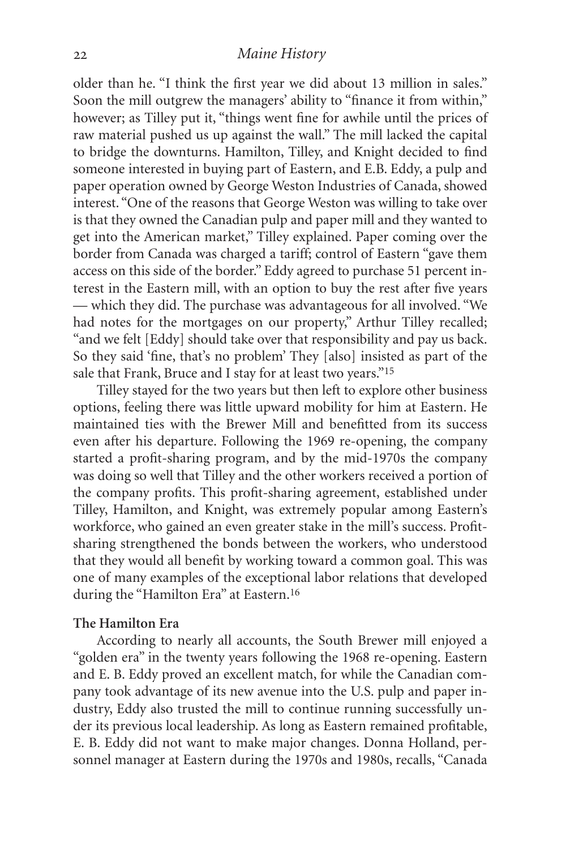# *Maine History*

older than he. "I think the first year we did about 13 million in sales." Soon the mill outgrew the managers' ability to "finance it from within," however; as Tilley put it, "things went fine for awhile until the prices of raw material pushed us up against the wall." The mill lacked the capital to bridge the downturns. Hamilton, Tilley, and Knight decided to find someone interested in buying part of Eastern, and E.B. Eddy, a pulp and paper operation owned by George Weston Industries of Canada, showed interest. "One of the reasons that George Weston was willing to take over is that they owned the Canadian pulp and paper mill and they wanted to get into the American market," Tilley explained. Paper coming over the border from Canada was charged a tariff; control of Eastern "gave them access on this side of the border." Eddy agreed to purchase 51 percent interest in the Eastern mill, with an option to buy the rest after five years — which they did. The purchase was advantageous for all involved. "We had notes for the mortgages on our property," Arthur Tilley recalled; "and we felt [Eddy] should take over that responsibility and pay us back. So they said 'fine, that's no problem' They [also] insisted as part of the sale that Frank, Bruce and I stay for at least two years."15

Tilley stayed for the two years but then left to explore other business options, feeling there was little upward mobility for him at Eastern. He maintained ties with the Brewer Mill and benefitted from its success even after his departure. Following the 1969 re-opening, the company started a profit-sharing program, and by the mid-1970s the company was doing so well that Tilley and the other workers received a portion of the company profits. This profit-sharing agreement, established under Tilley, Hamilton, and Knight, was extremely popular among Eastern's workforce, who gained an even greater stake in the mill's success. Profitsharing strengthened the bonds between the workers, who understood that they would all benefit by working toward a common goal. This was one of many examples of the exceptional labor relations that developed during the "Hamilton Era" at Eastern.16

#### **The Hamilton Era**

According to nearly all accounts, the South Brewer mill enjoyed a "golden era" in the twenty years following the 1968 re-opening. Eastern and E. B. Eddy proved an excellent match, for while the Canadian company took advantage of its new avenue into the U.S. pulp and paper industry, Eddy also trusted the mill to continue running successfully under its previous local leadership. As long as Eastern remained profitable, E. B. Eddy did not want to make major changes. Donna Holland, personnel manager at Eastern during the 1970s and 1980s, recalls, "Canada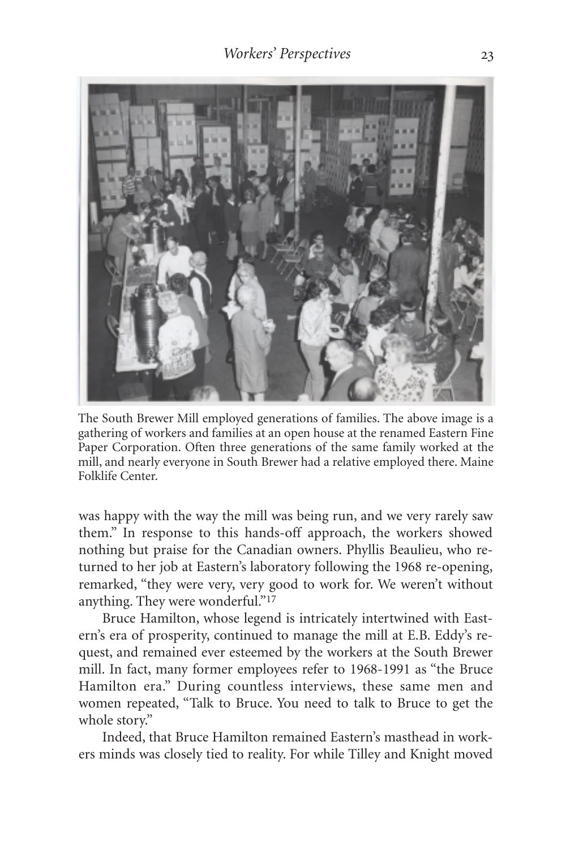

The South Brewer Mill employed generations of families. The above image is a gathering of workers and families at an open house at the renamed Eastern Fine Paper Corporation. Often three generations of the same family worked at the mill, and nearly everyone in South Brewer had a relative employed there. Maine Folklife Center.

was happy with the way the mill was being run, and we very rarely saw them." In response to this hands-off approach, the workers showed nothing but praise for the Canadian owners. Phyllis Beaulieu, who returned to her job at Eastern's laboratory following the 1968 re-opening, remarked, "they were very, very good to work for. We weren't without anything. They were wonderful."17

Bruce Hamilton, whose legend is intricately intertwined with Eastern's era of prosperity, continued to manage the mill at E.B. Eddy's request, and remained ever esteemed by the workers at the South Brewer mill. In fact, many former employees refer to 1968-1991 as "the Bruce Hamilton era." During countless interviews, these same men and women repeated, "Talk to Bruce. You need to talk to Bruce to get the whole story."

Indeed, that Bruce Hamilton remained Eastern's masthead in workers minds was closely tied to reality. For while Tilley and Knight moved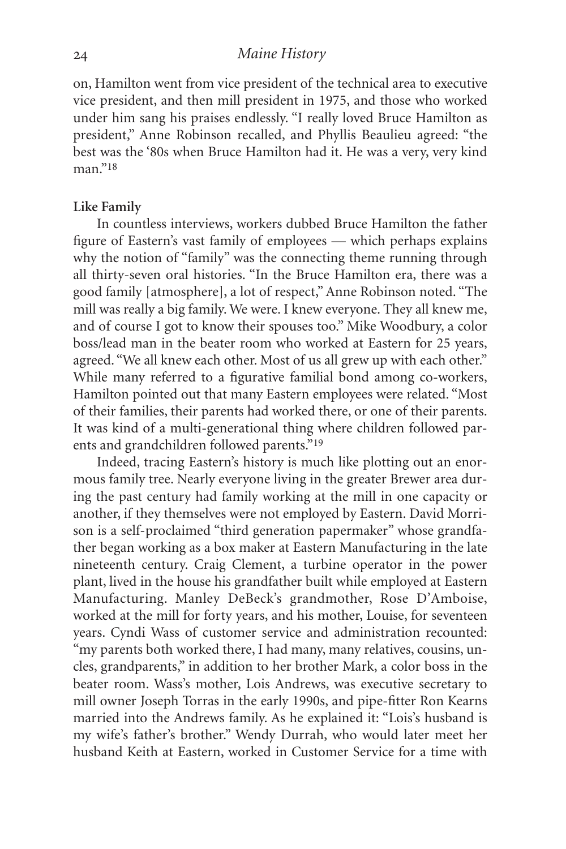# *Maine History*

on, Hamilton went from vice president of the technical area to executive vice president, and then mill president in 1975, and those who worked under him sang his praises endlessly. "I really loved Bruce Hamilton as president," Anne Robinson recalled, and Phyllis Beaulieu agreed: "the best was the '80s when Bruce Hamilton had it. He was a very, very kind  $man$ "18

#### **Like Family**

In countless interviews, workers dubbed Bruce Hamilton the father figure of Eastern's vast family of employees — which perhaps explains why the notion of "family" was the connecting theme running through all thirty-seven oral histories. "In the Bruce Hamilton era, there was a good family [atmosphere], a lot of respect," Anne Robinson noted. "The mill was really a big family. We were. I knew everyone. They all knew me, and of course I got to know their spouses too." Mike Woodbury, a color boss/lead man in the beater room who worked at Eastern for 25 years, agreed. "We all knew each other. Most of us all grew up with each other." While many referred to a figurative familial bond among co-workers, Hamilton pointed out that many Eastern employees were related. "Most of their families, their parents had worked there, or one of their parents. It was kind of a multi-generational thing where children followed parents and grandchildren followed parents."19

Indeed, tracing Eastern's history is much like plotting out an enormous family tree. Nearly everyone living in the greater Brewer area during the past century had family working at the mill in one capacity or another, if they themselves were not employed by Eastern. David Morrison is a self-proclaimed "third generation papermaker" whose grandfather began working as a box maker at Eastern Manufacturing in the late nineteenth century. Craig Clement, a turbine operator in the power plant, lived in the house his grandfather built while employed at Eastern Manufacturing. Manley DeBeck's grandmother, Rose D'Amboise, worked at the mill for forty years, and his mother, Louise, for seventeen years. Cyndi Wass of customer service and administration recounted: "my parents both worked there, I had many, many relatives, cousins, uncles, grandparents," in addition to her brother Mark, a color boss in the beater room. Wass's mother, Lois Andrews, was executive secretary to mill owner Joseph Torras in the early 1990s, and pipe-fitter Ron Kearns married into the Andrews family. As he explained it: "Lois's husband is my wife's father's brother." Wendy Durrah, who would later meet her husband Keith at Eastern, worked in Customer Service for a time with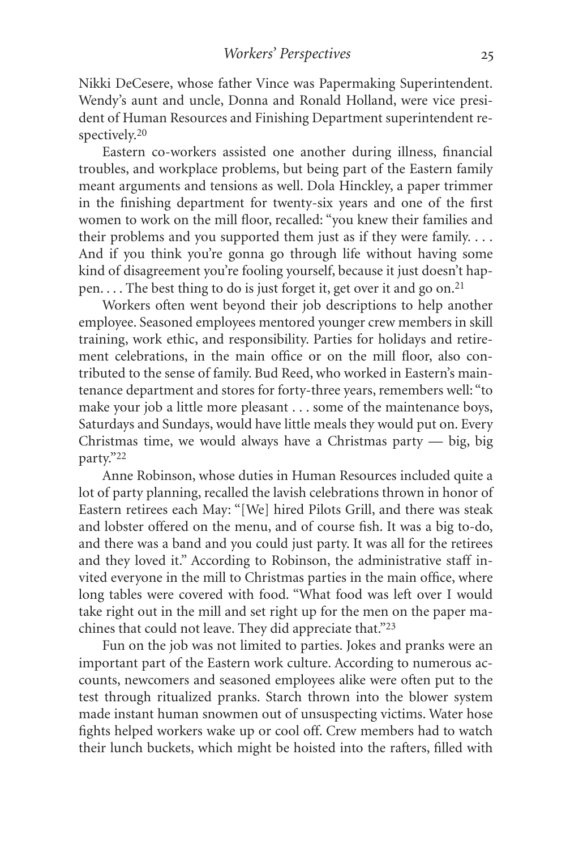Nikki DeCesere, whose father Vince was Papermaking Superintendent. Wendy's aunt and uncle, Donna and Ronald Holland, were vice president of Human Resources and Finishing Department superintendent respectively.20

Eastern co-workers assisted one another during illness, financial troubles, and workplace problems, but being part of the Eastern family meant arguments and tensions as well. Dola Hinckley, a paper trimmer in the finishing department for twenty-six years and one of the first women to work on the mill floor, recalled: "you knew their families and their problems and you supported them just as if they were family. . . . And if you think you're gonna go through life without having some kind of disagreement you're fooling yourself, because it just doesn't happen. . . . The best thing to do is just forget it, get over it and go on.<sup>21</sup>

Workers often went beyond their job descriptions to help another employee. Seasoned employees mentored younger crew members in skill training, work ethic, and responsibility. Parties for holidays and retirement celebrations, in the main office or on the mill floor, also contributed to the sense of family. Bud Reed, who worked in Eastern's maintenance department and stores for forty-three years, remembers well: "to make your job a little more pleasant . . . some of the maintenance boys, Saturdays and Sundays, would have little meals they would put on. Every Christmas time, we would always have a Christmas party — big, big party."22

Anne Robinson, whose duties in Human Resources included quite a lot of party planning, recalled the lavish celebrations thrown in honor of Eastern retirees each May: "[We] hired Pilots Grill, and there was steak and lobster offered on the menu, and of course fish. It was a big to-do, and there was a band and you could just party. It was all for the retirees and they loved it." According to Robinson, the administrative staff invited everyone in the mill to Christmas parties in the main office, where long tables were covered with food. "What food was left over I would take right out in the mill and set right up for the men on the paper machines that could not leave. They did appreciate that."23

Fun on the job was not limited to parties. Jokes and pranks were an important part of the Eastern work culture. According to numerous accounts, newcomers and seasoned employees alike were often put to the test through ritualized pranks. Starch thrown into the blower system made instant human snowmen out of unsuspecting victims. Water hose fights helped workers wake up or cool off. Crew members had to watch their lunch buckets, which might be hoisted into the rafters, filled with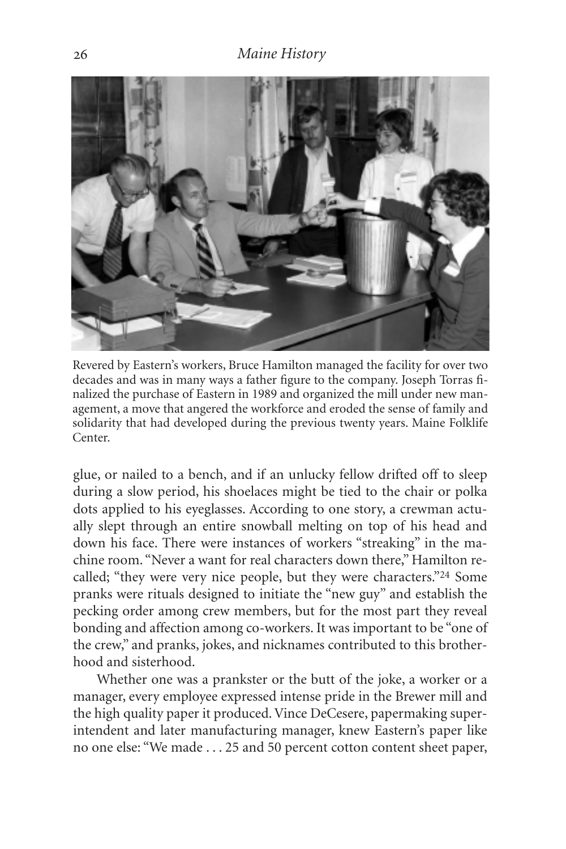

Revered by Eastern's workers, Bruce Hamilton managed the facility for over two decades and was in many ways a father figure to the company. Joseph Torras finalized the purchase of Eastern in 1989 and organized the mill under new management, a move that angered the workforce and eroded the sense of family and solidarity that had developed during the previous twenty years. Maine Folklife Center.

glue, or nailed to a bench, and if an unlucky fellow drifted off to sleep during a slow period, his shoelaces might be tied to the chair or polka dots applied to his eyeglasses. According to one story, a crewman actually slept through an entire snowball melting on top of his head and down his face. There were instances of workers "streaking" in the machine room. "Never a want for real characters down there," Hamilton recalled; "they were very nice people, but they were characters."24 Some pranks were rituals designed to initiate the "new guy" and establish the pecking order among crew members, but for the most part they reveal bonding and affection among co-workers. It was important to be "one of the crew," and pranks, jokes, and nicknames contributed to this brotherhood and sisterhood.

Whether one was a prankster or the butt of the joke, a worker or a manager, every employee expressed intense pride in the Brewer mill and the high quality paper it produced. Vince DeCesere, papermaking superintendent and later manufacturing manager, knew Eastern's paper like no one else: "We made . . . 25 and 50 percent cotton content sheet paper,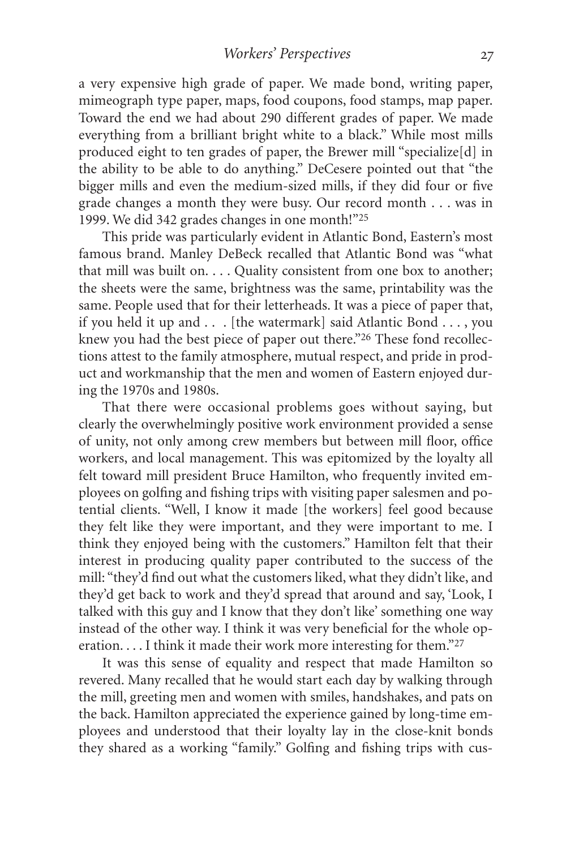a very expensive high grade of paper. We made bond, writing paper, mimeograph type paper, maps, food coupons, food stamps, map paper. Toward the end we had about 290 different grades of paper. We made everything from a brilliant bright white to a black." While most mills produced eight to ten grades of paper, the Brewer mill "specialize[d] in the ability to be able to do anything." DeCesere pointed out that "the bigger mills and even the medium-sized mills, if they did four or five grade changes a month they were busy. Our record month . . . was in 1999. We did 342 grades changes in one month!"25

This pride was particularly evident in Atlantic Bond, Eastern's most famous brand. Manley DeBeck recalled that Atlantic Bond was "what that mill was built on. . . . Quality consistent from one box to another; the sheets were the same, brightness was the same, printability was the same. People used that for their letterheads. It was a piece of paper that, if you held it up and . . . [the watermark] said Atlantic Bond . . . , you knew you had the best piece of paper out there."<sup>26</sup> These fond recollections attest to the family atmosphere, mutual respect, and pride in product and workmanship that the men and women of Eastern enjoyed during the 1970s and 1980s.

That there were occasional problems goes without saying, but clearly the overwhelmingly positive work environment provided a sense of unity, not only among crew members but between mill floor, office workers, and local management. This was epitomized by the loyalty all felt toward mill president Bruce Hamilton, who frequently invited employees on golfing and fishing trips with visiting paper salesmen and potential clients. "Well, I know it made [the workers] feel good because they felt like they were important, and they were important to me. I think they enjoyed being with the customers." Hamilton felt that their interest in producing quality paper contributed to the success of the mill: "they'd find out what the customers liked, what they didn't like, and they'd get back to work and they'd spread that around and say, 'Look, I talked with this guy and I know that they don't like' something one way instead of the other way. I think it was very beneficial for the whole operation. . . . I think it made their work more interesting for them."27

It was this sense of equality and respect that made Hamilton so revered. Many recalled that he would start each day by walking through the mill, greeting men and women with smiles, handshakes, and pats on the back. Hamilton appreciated the experience gained by long-time employees and understood that their loyalty lay in the close-knit bonds they shared as a working "family." Golfing and fishing trips with cus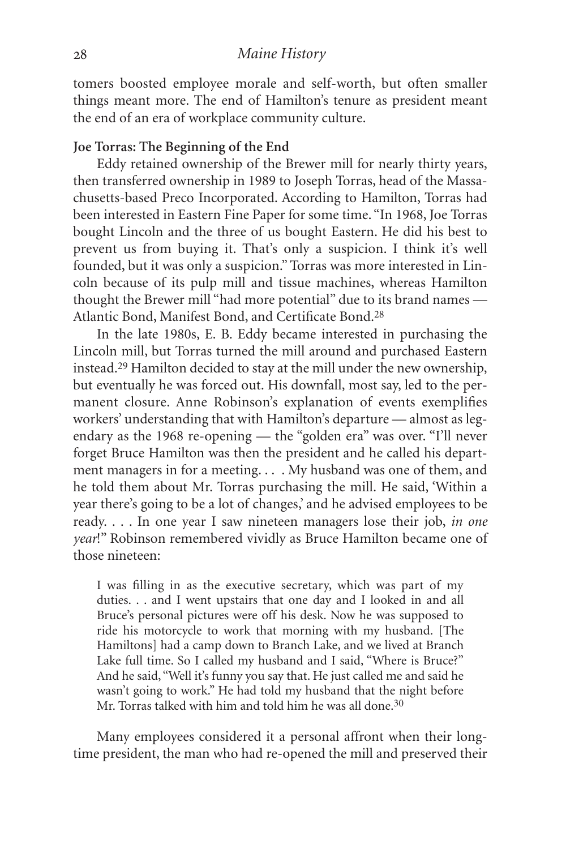tomers boosted employee morale and self-worth, but often smaller things meant more. The end of Hamilton's tenure as president meant the end of an era of workplace community culture.

### **Joe Torras: The Beginning of the End**

Eddy retained ownership of the Brewer mill for nearly thirty years, then transferred ownership in 1989 to Joseph Torras, head of the Massachusetts-based Preco Incorporated. According to Hamilton, Torras had been interested in Eastern Fine Paper for some time. "In 1968, Joe Torras bought Lincoln and the three of us bought Eastern. He did his best to prevent us from buying it. That's only a suspicion. I think it's well founded, but it was only a suspicion." Torras was more interested in Lincoln because of its pulp mill and tissue machines, whereas Hamilton thought the Brewer mill "had more potential" due to its brand names — Atlantic Bond, Manifest Bond, and Certificate Bond.28

In the late 1980s, E. B. Eddy became interested in purchasing the Lincoln mill, but Torras turned the mill around and purchased Eastern instead.29 Hamilton decided to stay at the mill under the new ownership, but eventually he was forced out. His downfall, most say, led to the permanent closure. Anne Robinson's explanation of events exemplifies workers' understanding that with Hamilton's departure — almost as legendary as the 1968 re-opening — the "golden era" was over. "I'll never forget Bruce Hamilton was then the president and he called his department managers in for a meeting. . . . My husband was one of them, and he told them about Mr. Torras purchasing the mill. He said, 'Within a year there's going to be a lot of changes,' and he advised employees to be ready. . . . In one year I saw nineteen managers lose their job, *in one year*!" Robinson remembered vividly as Bruce Hamilton became one of those nineteen:

I was filling in as the executive secretary, which was part of my duties. . . and I went upstairs that one day and I looked in and all Bruce's personal pictures were off his desk. Now he was supposed to ride his motorcycle to work that morning with my husband. [The Hamiltons] had a camp down to Branch Lake, and we lived at Branch Lake full time. So I called my husband and I said, "Where is Bruce?" And he said, "Well it's funny you say that. He just called me and said he wasn't going to work." He had told my husband that the night before Mr. Torras talked with him and told him he was all done.<sup>30</sup>

Many employees considered it a personal affront when their longtime president, the man who had re-opened the mill and preserved their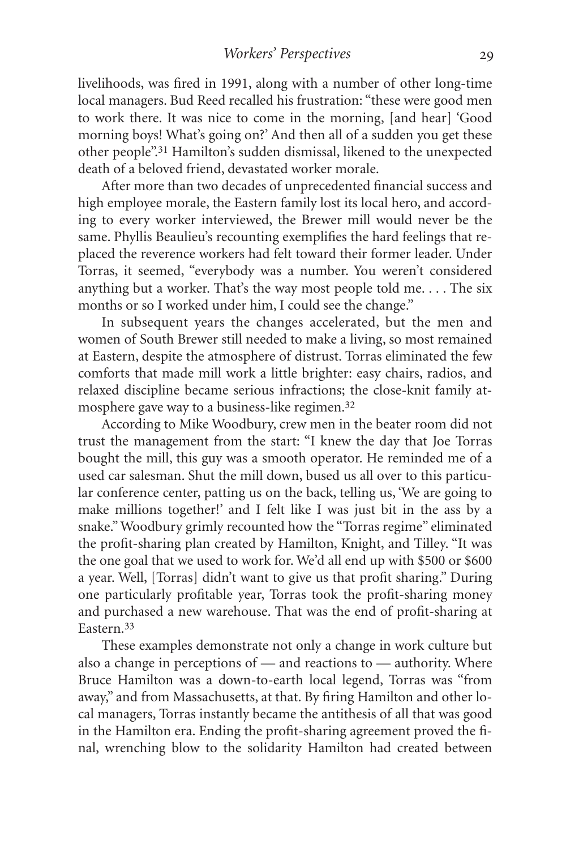livelihoods, was fired in 1991, along with a number of other long-time local managers. Bud Reed recalled his frustration: "these were good men to work there. It was nice to come in the morning, [and hear] 'Good morning boys! What's going on?' And then all of a sudden you get these other people".31 Hamilton's sudden dismissal, likened to the unexpected death of a beloved friend, devastated worker morale.

After more than two decades of unprecedented financial success and high employee morale, the Eastern family lost its local hero, and according to every worker interviewed, the Brewer mill would never be the same. Phyllis Beaulieu's recounting exemplifies the hard feelings that replaced the reverence workers had felt toward their former leader. Under Torras, it seemed, "everybody was a number. You weren't considered anything but a worker. That's the way most people told me. . . . The six months or so I worked under him, I could see the change."

In subsequent years the changes accelerated, but the men and women of South Brewer still needed to make a living, so most remained at Eastern, despite the atmosphere of distrust. Torras eliminated the few comforts that made mill work a little brighter: easy chairs, radios, and relaxed discipline became serious infractions; the close-knit family atmosphere gave way to a business-like regimen.32

According to Mike Woodbury, crew men in the beater room did not trust the management from the start: "I knew the day that Joe Torras bought the mill, this guy was a smooth operator. He reminded me of a used car salesman. Shut the mill down, bused us all over to this particular conference center, patting us on the back, telling us, 'We are going to make millions together!' and I felt like I was just bit in the ass by a snake."Woodbury grimly recounted how the "Torras regime" eliminated the profit-sharing plan created by Hamilton, Knight, and Tilley. "It was the one goal that we used to work for. We'd all end up with \$500 or \$600 a year. Well, [Torras] didn't want to give us that profit sharing." During one particularly profitable year, Torras took the profit-sharing money and purchased a new warehouse. That was the end of profit-sharing at Eastern.33

These examples demonstrate not only a change in work culture but also a change in perceptions of — and reactions to — authority. Where Bruce Hamilton was a down-to-earth local legend, Torras was "from away," and from Massachusetts, at that. By firing Hamilton and other local managers, Torras instantly became the antithesis of all that was good in the Hamilton era. Ending the profit-sharing agreement proved the final, wrenching blow to the solidarity Hamilton had created between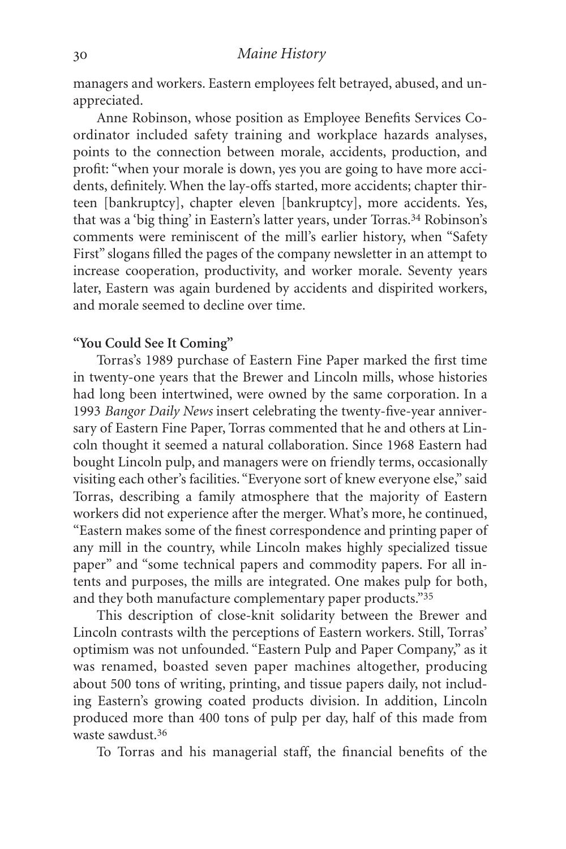managers and workers. Eastern employees felt betrayed, abused, and unappreciated.

Anne Robinson, whose position as Employee Benefits Services Coordinator included safety training and workplace hazards analyses, points to the connection between morale, accidents, production, and profit: "when your morale is down, yes you are going to have more accidents, definitely. When the lay-offs started, more accidents; chapter thirteen [bankruptcy], chapter eleven [bankruptcy], more accidents. Yes, that was a 'big thing' in Eastern's latter years, under Torras.<sup>34</sup> Robinson's comments were reminiscent of the mill's earlier history, when "Safety First" slogans filled the pages of the company newsletter in an attempt to increase cooperation, productivity, and worker morale. Seventy years later, Eastern was again burdened by accidents and dispirited workers, and morale seemed to decline over time.

### **"You Could See It Coming"**

Torras's 1989 purchase of Eastern Fine Paper marked the first time in twenty-one years that the Brewer and Lincoln mills, whose histories had long been intertwined, were owned by the same corporation. In a 1993 *Bangor Daily News* insert celebrating the twenty-five-year anniversary of Eastern Fine Paper, Torras commented that he and others at Lincoln thought it seemed a natural collaboration. Since 1968 Eastern had bought Lincoln pulp, and managers were on friendly terms, occasionally visiting each other's facilities. "Everyone sort of knew everyone else," said Torras, describing a family atmosphere that the majority of Eastern workers did not experience after the merger. What's more, he continued, "Eastern makes some of the finest correspondence and printing paper of any mill in the country, while Lincoln makes highly specialized tissue paper" and "some technical papers and commodity papers. For all intents and purposes, the mills are integrated. One makes pulp for both, and they both manufacture complementary paper products."35

This description of close-knit solidarity between the Brewer and Lincoln contrasts wilth the perceptions of Eastern workers. Still, Torras' optimism was not unfounded. "Eastern Pulp and Paper Company," as it was renamed, boasted seven paper machines altogether, producing about 500 tons of writing, printing, and tissue papers daily, not including Eastern's growing coated products division. In addition, Lincoln produced more than 400 tons of pulp per day, half of this made from waste sawdust.36

To Torras and his managerial staff, the financial benefits of the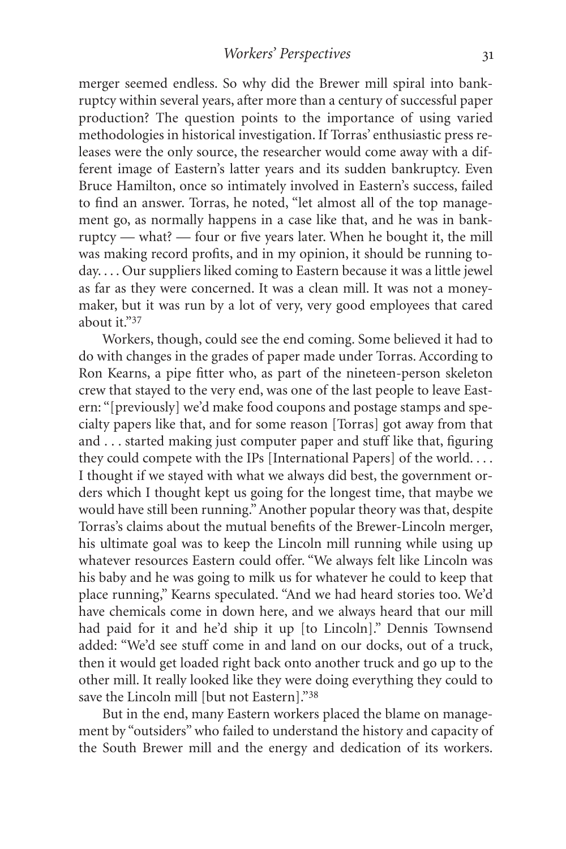merger seemed endless. So why did the Brewer mill spiral into bankruptcy within several years, after more than a century of successful paper production? The question points to the importance of using varied methodologies in historical investigation. If Torras' enthusiastic press releases were the only source, the researcher would come away with a different image of Eastern's latter years and its sudden bankruptcy. Even Bruce Hamilton, once so intimately involved in Eastern's success, failed to find an answer. Torras, he noted, "let almost all of the top management go, as normally happens in a case like that, and he was in bankruptcy — what? — four or five years later. When he bought it, the mill was making record profits, and in my opinion, it should be running today. . . . Our suppliers liked coming to Eastern because it was a little jewel as far as they were concerned. It was a clean mill. It was not a moneymaker, but it was run by a lot of very, very good employees that cared about it."37

Workers, though, could see the end coming. Some believed it had to do with changes in the grades of paper made under Torras. According to Ron Kearns, a pipe fitter who, as part of the nineteen-person skeleton crew that stayed to the very end, was one of the last people to leave Eastern: "[previously] we'd make food coupons and postage stamps and specialty papers like that, and for some reason [Torras] got away from that and . . . started making just computer paper and stuff like that, figuring they could compete with the IPs [International Papers] of the world. . . . I thought if we stayed with what we always did best, the government orders which I thought kept us going for the longest time, that maybe we would have still been running." Another popular theory was that, despite Torras's claims about the mutual benefits of the Brewer-Lincoln merger, his ultimate goal was to keep the Lincoln mill running while using up whatever resources Eastern could offer. "We always felt like Lincoln was his baby and he was going to milk us for whatever he could to keep that place running," Kearns speculated. "And we had heard stories too. We'd have chemicals come in down here, and we always heard that our mill had paid for it and he'd ship it up [to Lincoln]." Dennis Townsend added: "We'd see stuff come in and land on our docks, out of a truck, then it would get loaded right back onto another truck and go up to the other mill. It really looked like they were doing everything they could to save the Lincoln mill [but not Eastern]."38

But in the end, many Eastern workers placed the blame on management by "outsiders" who failed to understand the history and capacity of the South Brewer mill and the energy and dedication of its workers.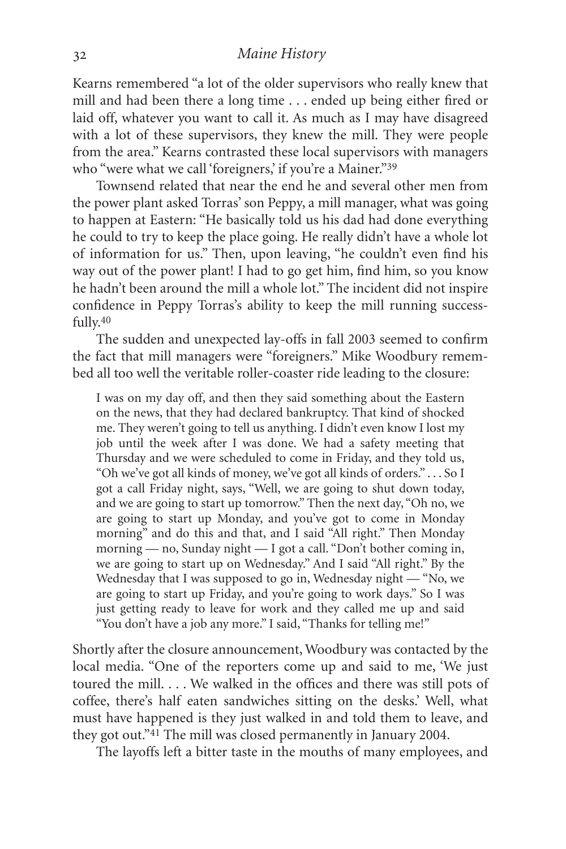Kearns remembered "a lot of the older supervisors who really knew that mill and had been there a long time . . . ended up being either fired or laid off, whatever you want to call it. As much as I may have disagreed with a lot of these supervisors, they knew the mill. They were people from the area." Kearns contrasted these local supervisors with managers who "were what we call 'foreigners,' if you're a Mainer."<sup>39</sup>

Townsend related that near the end he and several other men from the power plant asked Torras' son Peppy, a mill manager, what was going to happen at Eastern: "He basically told us his dad had done everything he could to try to keep the place going. He really didn't have a whole lot of information for us." Then, upon leaving, "he couldn't even find his way out of the power plant! I had to go get him, find him, so you know he hadn't been around the mill a whole lot." The incident did not inspire confidence in Peppy Torras's ability to keep the mill running successfully.40

The sudden and unexpected lay-offs in fall 2003 seemed to confirm the fact that mill managers were "foreigners." Mike Woodbury remembed all too well the veritable roller-coaster ride leading to the closure:

I was on my day off, and then they said something about the Eastern on the news, that they had declared bankruptcy. That kind of shocked me. They weren't going to tell us anything. I didn't even know I lost my job until the week after I was done. We had a safety meeting that Thursday and we were scheduled to come in Friday, and they told us, "Oh we've got all kinds of money, we've got all kinds of orders." . . . So I got a call Friday night, says, "Well, we are going to shut down today, and we are going to start up tomorrow." Then the next day, "Oh no, we are going to start up Monday, and you've got to come in Monday morning" and do this and that, and I said "All right." Then Monday morning — no, Sunday night — I got a call. "Don't bother coming in, we are going to start up on Wednesday." And I said "All right." By the Wednesday that I was supposed to go in, Wednesday night — "No, we are going to start up Friday, and you're going to work days." So I was just getting ready to leave for work and they called me up and said "You don't have a job any more." I said, "Thanks for telling me!"

Shortly after the closure announcement, Woodbury was contacted by the local media. "One of the reporters come up and said to me, 'We just toured the mill. . . . We walked in the offices and there was still pots of coffee, there's half eaten sandwiches sitting on the desks.' Well, what must have happened is they just walked in and told them to leave, and they got out."41 The mill was closed permanently in January 2004.

The layoffs left a bitter taste in the mouths of many employees, and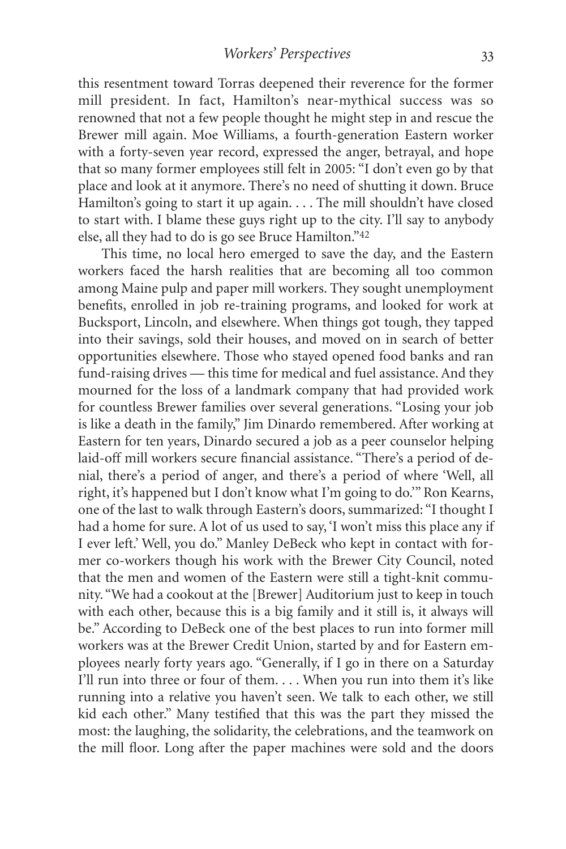this resentment toward Torras deepened their reverence for the former mill president. In fact, Hamilton's near-mythical success was so renowned that not a few people thought he might step in and rescue the Brewer mill again. Moe Williams, a fourth-generation Eastern worker with a forty-seven year record, expressed the anger, betrayal, and hope that so many former employees still felt in 2005: "I don't even go by that place and look at it anymore. There's no need of shutting it down. Bruce Hamilton's going to start it up again. . . . The mill shouldn't have closed to start with. I blame these guys right up to the city. I'll say to anybody else, all they had to do is go see Bruce Hamilton."42

This time, no local hero emerged to save the day, and the Eastern workers faced the harsh realities that are becoming all too common among Maine pulp and paper mill workers. They sought unemployment benefits, enrolled in job re-training programs, and looked for work at Bucksport, Lincoln, and elsewhere. When things got tough, they tapped into their savings, sold their houses, and moved on in search of better opportunities elsewhere. Those who stayed opened food banks and ran fund-raising drives — this time for medical and fuel assistance. And they mourned for the loss of a landmark company that had provided work for countless Brewer families over several generations. "Losing your job is like a death in the family," Jim Dinardo remembered. After working at Eastern for ten years, Dinardo secured a job as a peer counselor helping laid-off mill workers secure financial assistance. "There's a period of denial, there's a period of anger, and there's a period of where 'Well, all right, it's happened but I don't know what I'm going to do.'" Ron Kearns, one of the last to walk through Eastern's doors, summarized: "I thought I had a home for sure. A lot of us used to say, 'I won't miss this place any if I ever left.' Well, you do." Manley DeBeck who kept in contact with former co-workers though his work with the Brewer City Council, noted that the men and women of the Eastern were still a tight-knit community. "We had a cookout at the [Brewer] Auditorium just to keep in touch with each other, because this is a big family and it still is, it always will be." According to DeBeck one of the best places to run into former mill workers was at the Brewer Credit Union, started by and for Eastern employees nearly forty years ago. "Generally, if I go in there on a Saturday I'll run into three or four of them. . . . When you run into them it's like running into a relative you haven't seen. We talk to each other, we still kid each other." Many testified that this was the part they missed the most: the laughing, the solidarity, the celebrations, and the teamwork on the mill floor. Long after the paper machines were sold and the doors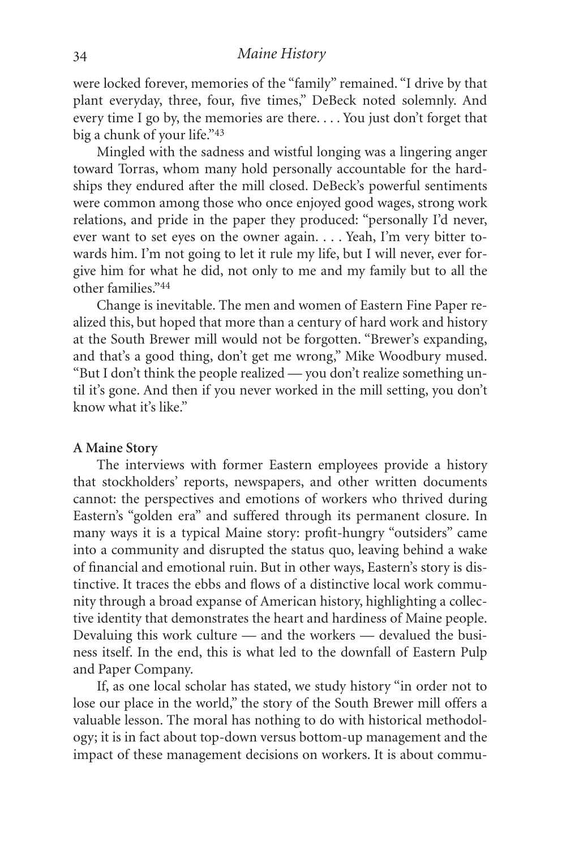were locked forever, memories of the "family" remained. "I drive by that plant everyday, three, four, five times," DeBeck noted solemnly. And every time I go by, the memories are there. . . . You just don't forget that big a chunk of your life."43

Mingled with the sadness and wistful longing was a lingering anger toward Torras, whom many hold personally accountable for the hardships they endured after the mill closed. DeBeck's powerful sentiments were common among those who once enjoyed good wages, strong work relations, and pride in the paper they produced: "personally I'd never, ever want to set eyes on the owner again. . . . Yeah, I'm very bitter towards him. I'm not going to let it rule my life, but I will never, ever forgive him for what he did, not only to me and my family but to all the other families."44

Change is inevitable. The men and women of Eastern Fine Paper realized this, but hoped that more than a century of hard work and history at the South Brewer mill would not be forgotten. "Brewer's expanding, and that's a good thing, don't get me wrong," Mike Woodbury mused. "But I don't think the people realized — you don't realize something until it's gone. And then if you never worked in the mill setting, you don't know what it's like."

#### **A Maine Story**

The interviews with former Eastern employees provide a history that stockholders' reports, newspapers, and other written documents cannot: the perspectives and emotions of workers who thrived during Eastern's "golden era" and suffered through its permanent closure. In many ways it is a typical Maine story: profit-hungry "outsiders" came into a community and disrupted the status quo, leaving behind a wake of financial and emotional ruin. But in other ways, Eastern's story is distinctive. It traces the ebbs and flows of a distinctive local work community through a broad expanse of American history, highlighting a collective identity that demonstrates the heart and hardiness of Maine people. Devaluing this work culture — and the workers — devalued the business itself. In the end, this is what led to the downfall of Eastern Pulp and Paper Company.

If, as one local scholar has stated, we study history "in order not to lose our place in the world," the story of the South Brewer mill offers a valuable lesson. The moral has nothing to do with historical methodology; it is in fact about top-down versus bottom-up management and the impact of these management decisions on workers. It is about commu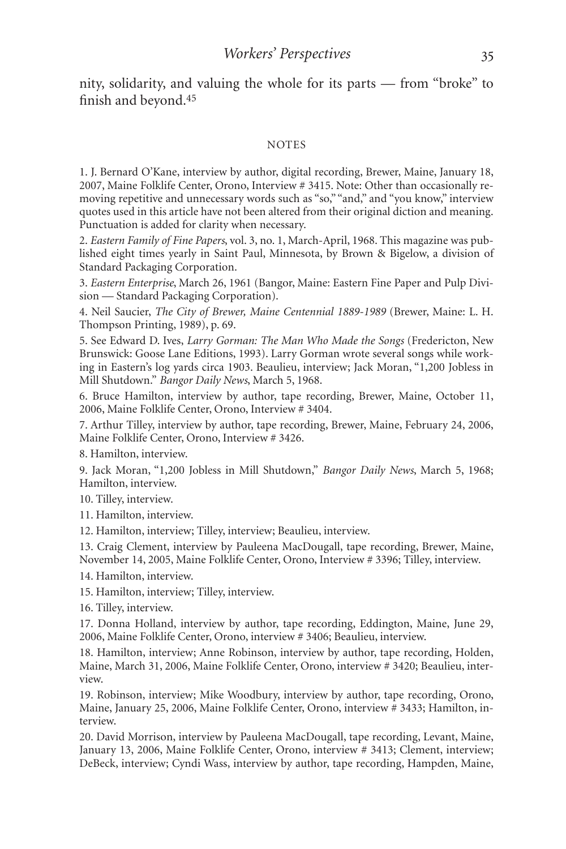nity, solidarity, and valuing the whole for its parts — from "broke" to finish and beyond.45

#### **NOTES**

1. J. Bernard O'Kane, interview by author, digital recording, Brewer, Maine, January 18, 2007, Maine Folklife Center, Orono, Interview # 3415. Note: Other than occasionally removing repetitive and unnecessary words such as "so," "and," and "you know," interview quotes used in this article have not been altered from their original diction and meaning. Punctuation is added for clarity when necessary.

2. *Eastern Family of Fine Papers*, vol. 3, no. 1, March-April, 1968. This magazine was published eight times yearly in Saint Paul, Minnesota, by Brown & Bigelow, a division of Standard Packaging Corporation.

3. *Eastern Enterprise*, March 26, 1961 (Bangor, Maine: Eastern Fine Paper and Pulp Division — Standard Packaging Corporation).

4. Neil Saucier, *The City of Brewer, Maine Centennial 1889-1989* (Brewer, Maine: L. H. Thompson Printing, 1989), p. 69.

5. See Edward D. Ives, *Larry Gorman: The Man Who Made the Songs* (Fredericton, New Brunswick: Goose Lane Editions, 1993). Larry Gorman wrote several songs while working in Eastern's log yards circa 1903. Beaulieu, interview; Jack Moran, "1,200 Jobless in Mill Shutdown." *Bangor Daily News*, March 5, 1968.

6. Bruce Hamilton, interview by author, tape recording, Brewer, Maine, October 11, 2006, Maine Folklife Center, Orono, Interview # 3404.

7. Arthur Tilley, interview by author, tape recording, Brewer, Maine, February 24, 2006, Maine Folklife Center, Orono, Interview # 3426.

8. Hamilton, interview.

9. Jack Moran, "1,200 Jobless in Mill Shutdown," *Bangor Daily News*, March 5, 1968; Hamilton, interview.

10. Tilley, interview.

11. Hamilton, interview.

12. Hamilton, interview; Tilley, interview; Beaulieu, interview.

13. Craig Clement, interview by Pauleena MacDougall, tape recording, Brewer, Maine, November 14, 2005, Maine Folklife Center, Orono, Interview # 3396; Tilley, interview.

14. Hamilton, interview.

15. Hamilton, interview; Tilley, interview.

16. Tilley, interview.

17. Donna Holland, interview by author, tape recording, Eddington, Maine, June 29, 2006, Maine Folklife Center, Orono, interview # 3406; Beaulieu, interview.

18. Hamilton, interview; Anne Robinson, interview by author, tape recording, Holden, Maine, March 31, 2006, Maine Folklife Center, Orono, interview # 3420; Beaulieu, interview.

19. Robinson, interview; Mike Woodbury, interview by author, tape recording, Orono, Maine, January 25, 2006, Maine Folklife Center, Orono, interview # 3433; Hamilton, interview.

20. David Morrison, interview by Pauleena MacDougall, tape recording, Levant, Maine, January 13, 2006, Maine Folklife Center, Orono, interview # 3413; Clement, interview; DeBeck, interview; Cyndi Wass, interview by author, tape recording, Hampden, Maine,